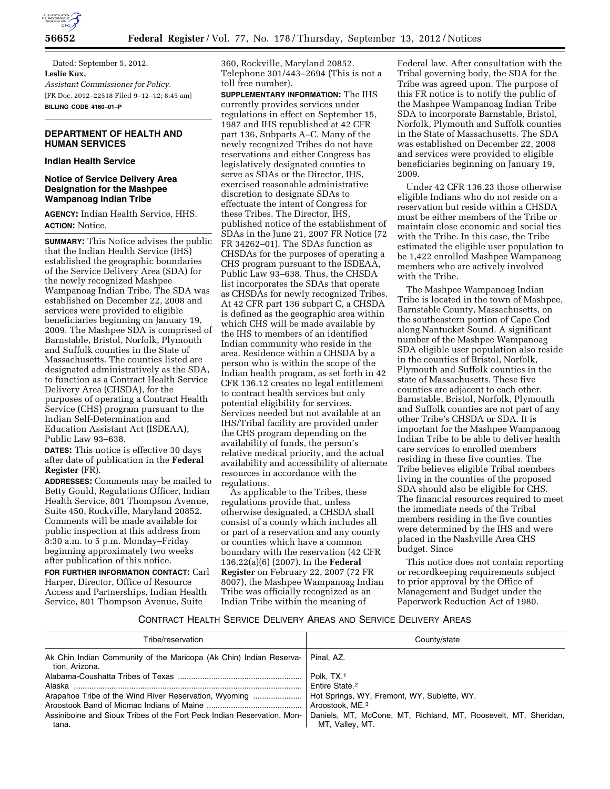

Dated: September 5, 2012. **Leslie Kux,**  *Assistant Commissioner for Policy.*  [FR Doc. 2012–22518 Filed 9–12–12; 8:45 am] **BILLING CODE 4160–01–P** 

### **DEPARTMENT OF HEALTH AND HUMAN SERVICES**

### **Indian Health Service**

### **Notice of Service Delivery Area Designation for the Mashpee Wampanoag Indian Tribe**

**AGENCY:** Indian Health Service, HHS. **ACTION:** Notice.

**SUMMARY:** This Notice advises the public that the Indian Health Service (IHS) established the geographic boundaries of the Service Delivery Area (SDA) for the newly recognized Mashpee Wampanoag Indian Tribe. The SDA was established on December 22, 2008 and services were provided to eligible beneficiaries beginning on January 19, 2009. The Mashpee SDA is comprised of Barnstable, Bristol, Norfolk, Plymouth and Suffolk counties in the State of Massachusetts. The counties listed are designated administratively as the SDA, to function as a Contract Health Service Delivery Area (CHSDA), for the purposes of operating a Contract Health Service (CHS) program pursuant to the Indian Self-Determination and Education Assistant Act (ISDEAA), Public Law 93–638.

**DATES:** This notice is effective 30 days after date of publication in the **Federal Register** (FR).

**ADDRESSES:** Comments may be mailed to Betty Gould, Regulations Officer, Indian Health Service, 801 Thompson Avenue, Suite 450, Rockville, Maryland 20852. Comments will be made available for public inspection at this address from 8:30 a.m. to 5 p.m. Monday–Friday beginning approximately two weeks after publication of this notice.

**FOR FURTHER INFORMATION CONTACT:** Carl Harper, Director, Office of Resource Access and Partnerships, Indian Health Service, 801 Thompson Avenue, Suite

360, Rockville, Maryland 20852. Telephone 301/443–2694 (This is not a toll free number).

**SUPPLEMENTARY INFORMATION:** The IHS currently provides services under regulations in effect on September 15, 1987 and IHS republished at 42 CFR part 136, Subparts A–C. Many of the newly recognized Tribes do not have reservations and either Congress has legislatively designated counties to serve as SDAs or the Director, IHS, exercised reasonable administrative discretion to designate SDAs to effectuate the intent of Congress for these Tribes. The Director, IHS, published notice of the establishment of SDAs in the June 21, 2007 FR Notice (72 FR 34262–01). The SDAs function as CHSDAs for the purposes of operating a CHS program pursuant to the ISDEAA, Public Law 93–638. Thus, the CHSDA list incorporates the SDAs that operate as CHSDAs for newly recognized Tribes. At 42 CFR part 136 subpart C, a CHSDA is defined as the geographic area within which CHS will be made available by the IHS to members of an identified Indian community who reside in the area. Residence within a CHSDA by a person who is within the scope of the Indian health program, as set forth in 42 CFR 136.12 creates no legal entitlement to contract health services but only potential eligibility for services. Services needed but not available at an IHS/Tribal facility are provided under the CHS program depending on the availability of funds, the person's relative medical priority, and the actual availability and accessibility of alternate resources in accordance with the regulations.

As applicable to the Tribes, these regulations provide that, unless otherwise designated, a CHSDA shall consist of a county which includes all or part of a reservation and any county or counties which have a common boundary with the reservation (42 CFR 136.22(a)(6) (2007). In the **Federal Register** on February 22, 2007 (72 FR 8007), the Mashpee Wampanoag Indian Tribe was officially recognized as an Indian Tribe within the meaning of

Federal law. After consultation with the Tribal governing body, the SDA for the Tribe was agreed upon. The purpose of this FR notice is to notify the public of the Mashpee Wampanoag Indian Tribe SDA to incorporate Barnstable, Bristol, Norfolk, Plymouth and Suffolk counties in the State of Massachusetts. The SDA was established on December 22, 2008 and services were provided to eligible beneficiaries beginning on January 19, 2009.

Under 42 CFR 136.23 those otherwise eligible Indians who do not reside on a reservation but reside within a CHSDA must be either members of the Tribe or maintain close economic and social ties with the Tribe. In this case, the Tribe estimated the eligible user population to be 1,422 enrolled Mashpee Wampanoag members who are actively involved with the Tribe.

The Mashpee Wampanoag Indian Tribe is located in the town of Mashpee, Barnstable County, Massachusetts, on the southeastern portion of Cape Cod along Nantucket Sound. A significant number of the Mashpee Wampanoag SDA eligible user population also reside in the counties of Bristol, Norfolk, Plymouth and Suffolk counties in the state of Massachusetts. These five counties are adjacent to each other. Barnstable, Bristol, Norfolk, Plymouth and Suffolk counties are not part of any other Tribe's CHSDA or SDA. It is important for the Mashpee Wampanoag Indian Tribe to be able to deliver health care services to enrolled members residing in these five counties. The Tribe believes eligible Tribal members living in the counties of the proposed SDA should also be eligible for CHS. The financial resources required to meet the immediate needs of the Tribal members residing in the five counties were determined by the IHS and were placed in the Nashville Area CHS budget. Since

This notice does not contain reporting or recordkeeping requirements subject to prior approval by the Office of Management and Budget under the Paperwork Reduction Act of 1980.

#### CONTRACT HEALTH SERVICE DELIVERY AREAS AND SERVICE DELIVERY AREAS

| Tribe/reservation                                                                                                                                  | County/state                                                                                                                                                                                   |
|----------------------------------------------------------------------------------------------------------------------------------------------------|------------------------------------------------------------------------------------------------------------------------------------------------------------------------------------------------|
| Ak Chin Indian Community of the Maricopa (Ak Chin) Indian Reserva-<br>tion. Arizona.                                                               | Pinal, AZ.<br>Polk. TX. <sup>1</sup>                                                                                                                                                           |
| Alaska<br>Arapahoe Tribe of the Wind River Reservation, Wyoming<br>Assiniboine and Sioux Tribes of the Fort Peck Indian Reservation, Mon-<br>tana. | Entire State. <sup>2</sup><br>Hot Springs, WY, Fremont, WY, Sublette, WY.<br>Aroostook, ME. <sup>3</sup><br>Daniels, MT, McCone, MT, Richland, MT, Roosevelt, MT, Sheridan,<br>MT, Valley, MT. |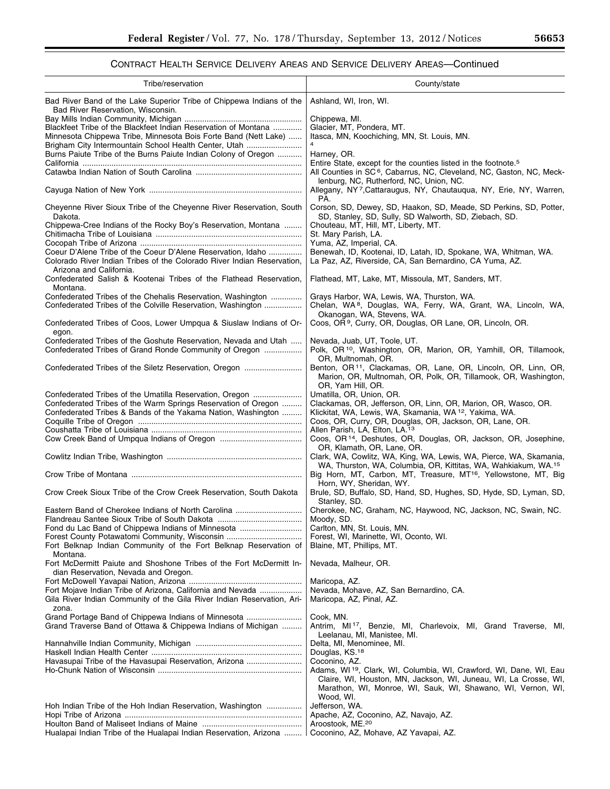# CONTRACT HEALTH SERVICE DELIVERY AREAS AND SERVICE DELIVERY AREAS—Continued

| Tribe/reservation                                                                                         | County/state                                                                                                               |
|-----------------------------------------------------------------------------------------------------------|----------------------------------------------------------------------------------------------------------------------------|
| Bad River Band of the Lake Superior Tribe of Chippewa Indians of the<br>Bad River Reservation, Wisconsin. | Ashland, WI, Iron, WI.                                                                                                     |
|                                                                                                           | Chippewa, MI.                                                                                                              |
| Blackfeet Tribe of the Blackfeet Indian Reservation of Montana                                            | Glacier, MT, Pondera, MT.                                                                                                  |
| Minnesota Chippewa Tribe, Minnesota Bois Forte Band (Nett Lake)                                           | Itasca, MN, Koochiching, MN, St. Louis, MN.                                                                                |
| Brigham City Intermountain School Health Center, Utah                                                     |                                                                                                                            |
| Burns Paiute Tribe of the Burns Paiute Indian Colony of Oregon                                            | Harney, OR.<br>Entire State, except for the counties listed in the footnote. <sup>5</sup>                                  |
|                                                                                                           | All Counties in SC <sup>6</sup> , Cabarrus, NC, Cleveland, NC, Gaston, NC, Meck-                                           |
|                                                                                                           | lenburg, NC, Rutherford, NC, Union, NC.                                                                                    |
|                                                                                                           | Allegany, NY7, Cattaraugus, NY, Chautaugua, NY, Erie, NY, Warren,                                                          |
|                                                                                                           | PA.                                                                                                                        |
| Cheyenne River Sioux Tribe of the Cheyenne River Reservation, South<br>Dakota.                            | Corson, SD, Dewey, SD, Haakon, SD, Meade, SD Perkins, SD, Potter,<br>SD, Stanley, SD, Sully, SD Walworth, SD, Ziebach, SD. |
| Chippewa-Cree Indians of the Rocky Boy's Reservation, Montana                                             | Chouteau, MT, Hill, MT, Liberty, MT.                                                                                       |
|                                                                                                           | St. Mary Parish, LA.                                                                                                       |
|                                                                                                           | Yuma, AZ, Imperial, CA.                                                                                                    |
| Coeur D'Alene Tribe of the Coeur D'Alene Reservation, Idaho                                               | Benewah, ID, Kootenai, ID, Latah, ID, Spokane, WA, Whitman, WA.                                                            |
| Colorado River Indian Tribes of the Colorado River Indian Reservation,<br>Arizona and California.         | La Paz, AZ, Riverside, CA, San Bernardino, CA Yuma, AZ.                                                                    |
| Confederated Salish & Kootenai Tribes of the Flathead Reservation,<br>Montana.                            | Flathead, MT, Lake, MT, Missoula, MT, Sanders, MT.                                                                         |
| Confederated Tribes of the Chehalis Reservation, Washington                                               | Grays Harbor, WA, Lewis, WA, Thurston, WA.                                                                                 |
| Confederated Tribes of the Colville Reservation, Washington                                               | Chelan, WA <sup>8</sup> , Douglas, WA, Ferry, WA, Grant, WA, Lincoln, WA,                                                  |
| Confederated Tribes of Coos, Lower Umpqua & Siuslaw Indians of Or-                                        | Okanogan, WA, Stevens, WA.<br>Coos, OR <sup>9</sup> , Curry, OR, Douglas, OR Lane, OR, Lincoln, OR.                        |
| egon.                                                                                                     |                                                                                                                            |
| Confederated Tribes of the Goshute Reservation, Nevada and Utah                                           | Nevada, Juab, UT, Toole, UT.                                                                                               |
| Confederated Tribes of Grand Ronde Community of Oregon                                                    | Polk, OR <sup>10</sup> , Washington, OR, Marion, OR, Yamhill, OR, Tillamook,                                               |
| Confederated Tribes of the Siletz Reservation, Oregon                                                     | OR, Multnomah, OR.<br>Benton, OR <sup>11</sup> , Clackamas, OR, Lane, OR, Lincoln, OR, Linn, OR,                           |
|                                                                                                           | Marion, OR, Multnomah, OR, Polk, OR, Tillamook, OR, Washington,<br>OR, Yam Hill, OR.                                       |
| Confederated Tribes of the Umatilla Reservation, Oregon                                                   | Umatilla, OR, Union, OR.                                                                                                   |
| Confederated Tribes of the Warm Springs Reservation of Oregon                                             | Clackamas, OR, Jefferson, OR, Linn, OR, Marion, OR, Wasco, OR.                                                             |
| Confederated Tribes & Bands of the Yakama Nation, Washington                                              | Klickitat, WA, Lewis, WA, Skamania, WA 12, Yakima, WA.                                                                     |
|                                                                                                           | Coos, OR, Curry, OR, Douglas, OR, Jackson, OR, Lane, OR.                                                                   |
|                                                                                                           | Allen Parish, LA, Elton, LA.13<br>Coos, OR <sup>14</sup> , Deshutes, OR, Douglas, OR, Jackson, OR, Josephine,              |
|                                                                                                           | OR, Klamath, OR, Lane, OR.                                                                                                 |
|                                                                                                           | Clark, WA, Cowlitz, WA, King, WA, Lewis, WA, Pierce, WA, Skamania,                                                         |
|                                                                                                           | WA, Thurston, WA, Columbia, OR, Kittitas, WA, Wahkiakum, WA. <sup>15</sup>                                                 |
|                                                                                                           | Big Horn, MT, Carbon, MT, Treasure, MT <sup>16</sup> , Yellowstone, MT, Big<br>Horn, WY, Sheridan, WY.                     |
| Crow Creek Sioux Tribe of the Crow Creek Reservation, South Dakota                                        | Brule, SD, Buffalo, SD, Hand, SD, Hughes, SD, Hyde, SD, Lyman, SD,                                                         |
|                                                                                                           | Stanley, SD.                                                                                                               |
| Eastern Band of Cherokee Indians of North Carolina                                                        | Cherokee, NC, Graham, NC, Haywood, NC, Jackson, NC, Swain, NC.                                                             |
| Fond du Lac Band of Chippewa Indians of Minnesota                                                         | Moody, SD.<br>Carlton, MN, St. Louis, MN.                                                                                  |
| Forest County Potawatomi Community, Wisconsin                                                             | Forest, WI, Marinette, WI, Oconto, WI.                                                                                     |
| Fort Belknap Indian Community of the Fort Belknap Reservation of<br>Montana.                              | Blaine, MT, Phillips, MT.                                                                                                  |
| Fort McDermitt Paiute and Shoshone Tribes of the Fort McDermitt In-                                       | Nevada, Malheur, OR.                                                                                                       |
| dian Reservation, Nevada and Oregon.                                                                      |                                                                                                                            |
| Fort Mojave Indian Tribe of Arizona, California and Nevada                                                | Maricopa, AZ.<br>Nevada, Mohave, AZ, San Bernardino, CA.                                                                   |
| Gila River Indian Community of the Gila River Indian Reservation, Ari-<br>zona.                           | Maricopa, AZ, Pinal, AZ.                                                                                                   |
| Grand Portage Band of Chippewa Indians of Minnesota                                                       | Cook, MN.                                                                                                                  |
| Grand Traverse Band of Ottawa & Chippewa Indians of Michigan                                              | Antrim, MI <sup>17</sup> , Benzie, MI, Charlevoix, MI, Grand Traverse, MI,                                                 |
|                                                                                                           | Leelanau, MI, Manistee, MI.<br>Delta, MI, Menominee, MI.                                                                   |
|                                                                                                           | Douglas, KS. <sup>18</sup>                                                                                                 |
| Havasupai Tribe of the Havasupai Reservation, Arizona                                                     | Coconino, AZ.                                                                                                              |
|                                                                                                           | Adams, WI <sup>19</sup> , Clark, WI, Columbia, WI, Crawford, WI, Dane, WI, Eau                                             |
|                                                                                                           | Claire, WI, Houston, MN, Jackson, WI, Juneau, WI, La Crosse, WI,                                                           |
|                                                                                                           | Marathon, WI, Monroe, WI, Sauk, WI, Shawano, WI, Vernon, WI,                                                               |
| Hoh Indian Tribe of the Hoh Indian Reservation, Washington                                                | Wood, WI.<br>Jefferson, WA.                                                                                                |
|                                                                                                           | Apache, AZ, Coconino, AZ, Navajo, AZ.                                                                                      |
|                                                                                                           | Aroostook, ME. <sup>20</sup>                                                                                               |
| Hualapai Indian Tribe of the Hualapai Indian Reservation, Arizona                                         | Coconino, AZ, Mohave, AZ Yavapai, AZ.                                                                                      |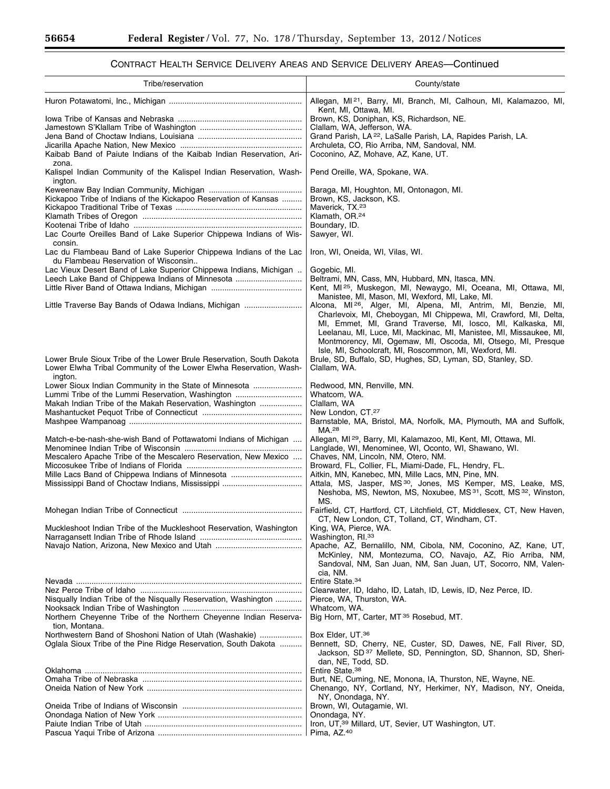$\equiv$ 

Ξ

# CONTRACT HEALTH SERVICE DELIVERY AREAS AND SERVICE DELIVERY AREAS—Continued

| Tribe/reservation                                                                                                                                     | County/state                                                                                                                                                                                                                                                                       |
|-------------------------------------------------------------------------------------------------------------------------------------------------------|------------------------------------------------------------------------------------------------------------------------------------------------------------------------------------------------------------------------------------------------------------------------------------|
|                                                                                                                                                       | Allegan, MI <sup>21</sup> , Barry, MI, Branch, MI, Calhoun, MI, Kalamazoo, MI,<br>Kent, MI, Ottawa, MI.                                                                                                                                                                            |
|                                                                                                                                                       | Brown, KS, Doniphan, KS, Richardson, NE.                                                                                                                                                                                                                                           |
|                                                                                                                                                       | Clallam, WA, Jefferson, WA.                                                                                                                                                                                                                                                        |
|                                                                                                                                                       | Grand Parish, LA <sup>22</sup> , LaSalle Parish, LA, Rapides Parish, LA.<br>Archuleta, CO, Rio Arriba, NM, Sandoval, NM.                                                                                                                                                           |
| Kaibab Band of Paiute Indians of the Kaibab Indian Reservation, Ari-<br>zona.                                                                         | Coconino, AZ, Mohave, AZ, Kane, UT.                                                                                                                                                                                                                                                |
| Kalispel Indian Community of the Kalispel Indian Reservation, Wash-<br>ington.                                                                        | Pend Oreille, WA, Spokane, WA.                                                                                                                                                                                                                                                     |
|                                                                                                                                                       | Baraga, MI, Houghton, MI, Ontonagon, MI.                                                                                                                                                                                                                                           |
| Kickapoo Tribe of Indians of the Kickapoo Reservation of Kansas                                                                                       | Brown, KS, Jackson, KS.<br>Maverick. TX. <sup>23</sup>                                                                                                                                                                                                                             |
|                                                                                                                                                       | Klamath, OR. <sup>24</sup>                                                                                                                                                                                                                                                         |
|                                                                                                                                                       | Boundary, ID.                                                                                                                                                                                                                                                                      |
| Lac Courte Oreilles Band of Lake Superior Chippewa Indians of Wis-<br>consin.                                                                         | Sawyer, WI.                                                                                                                                                                                                                                                                        |
| Lac du Flambeau Band of Lake Superior Chippewa Indians of the Lac<br>du Flambeau Reservation of Wisconsin                                             | Iron, WI, Oneida, WI, Vilas, WI.                                                                                                                                                                                                                                                   |
| Lac Vieux Desert Band of Lake Superior Chippewa Indians, Michigan<br>Leech Lake Band of Chippewa Indians of Minnesota                                 | Gogebic, MI.<br>Beltrami, MN, Cass, MN, Hubbard, MN, Itasca, MN.                                                                                                                                                                                                                   |
|                                                                                                                                                       | Kent, MI <sup>25</sup> , Muskegon, MI, Newaygo, MI, Oceana, MI, Ottawa, MI,                                                                                                                                                                                                        |
|                                                                                                                                                       | Manistee, MI, Mason, MI, Wexford, MI, Lake, MI.                                                                                                                                                                                                                                    |
| Little Traverse Bay Bands of Odawa Indians, Michigan                                                                                                  | Alcona, MI <sup>26</sup> , Alger, MI, Alpena, MI, Antrim, MI, Benzie, MI,<br>Charlevoix, MI, Cheboygan, MI Chippewa, MI, Crawford, MI, Delta,<br>MI, Emmet, MI, Grand Traverse, MI, Iosco, MI, Kalkaska, MI,<br>Leelanau, MI, Luce, MI, Mackinac, MI, Manistee, MI, Missaukee, MI, |
|                                                                                                                                                       | Montmorency, MI, Ogemaw, MI, Oscoda, MI, Otsego, MI, Presque<br>Isle, MI, Schoolcraft, MI, Roscommon, MI, Wexford, MI.                                                                                                                                                             |
| Lower Brule Sioux Tribe of the Lower Brule Reservation, South Dakota<br>Lower Elwha Tribal Community of the Lower Elwha Reservation, Wash-<br>ington. | Brule, SD, Buffalo, SD, Hughes, SD, Lyman, SD, Stanley, SD.<br>Clallam, WA.                                                                                                                                                                                                        |
| Lower Sioux Indian Community in the State of Minnesota                                                                                                | Redwood, MN, Renville, MN.                                                                                                                                                                                                                                                         |
| Lummi Tribe of the Lummi Reservation, Washington                                                                                                      | Whatcom, WA.                                                                                                                                                                                                                                                                       |
| Makah Indian Tribe of the Makah Reservation, Washington                                                                                               | Clallam, WA<br>New London, CT.27                                                                                                                                                                                                                                                   |
|                                                                                                                                                       | Barnstable, MA, Bristol, MA, Norfolk, MA, Plymouth, MA and Suffolk,<br>MA. <sup>28</sup>                                                                                                                                                                                           |
| Match-e-be-nash-she-wish Band of Pottawatomi Indians of Michigan                                                                                      | Allegan, MI <sup>29</sup> , Barry, MI, Kalamazoo, MI, Kent, MI, Ottawa, MI.<br>Langlade, WI, Menominee, WI, Oconto, WI, Shawano, WI.                                                                                                                                               |
| Mescalero Apache Tribe of the Mescalero Reservation, New Mexico                                                                                       | Chaves, NM, Lincoln, NM, Otero, NM.                                                                                                                                                                                                                                                |
| Mille Lacs Band of Chippewa Indians of Minnesota                                                                                                      | Broward, FL, Collier, FL, Miami-Dade, FL, Hendry, FL.<br>Aitkin, MN, Kanebec, MN, Mille Lacs, MN, Pine, MN.                                                                                                                                                                        |
|                                                                                                                                                       | Attala, MS, Jasper, MS <sup>30</sup> , Jones, MS Kemper, MS, Leake, MS,<br>Neshoba, MS, Newton, MS, Noxubee, MS <sup>31</sup> , Scott, MS <sup>32</sup> , Winston,<br>MS.                                                                                                          |
|                                                                                                                                                       | Fairfield, CT, Hartford, CT, Litchfield, CT, Middlesex, CT, New Haven,                                                                                                                                                                                                             |
| Muckleshoot Indian Tribe of the Muckleshoot Reservation, Washington                                                                                   | CT, New London, CT, Tolland, CT, Windham, CT.<br>King, WA, Pierce, WA.                                                                                                                                                                                                             |
|                                                                                                                                                       | Washington, RI. <sup>33</sup>                                                                                                                                                                                                                                                      |
|                                                                                                                                                       | Apache, AZ, Bernalillo, NM, Cibola, NM, Coconino, AZ, Kane, UT,                                                                                                                                                                                                                    |
|                                                                                                                                                       | McKinley, NM, Montezuma, CO, Navajo, AZ, Rio Arriba, NM,<br>Sandoval, NM, San Juan, NM, San Juan, UT, Socorro, NM, Valen-<br>cia, NM.                                                                                                                                              |
|                                                                                                                                                       | Entire State. <sup>34</sup>                                                                                                                                                                                                                                                        |
|                                                                                                                                                       | Clearwater, ID, Idaho, ID, Latah, ID, Lewis, ID, Nez Perce, ID.                                                                                                                                                                                                                    |
| Nisqually Indian Tribe of the Nisqually Reservation, Washington                                                                                       | Pierce, WA, Thurston, WA.                                                                                                                                                                                                                                                          |
| Northern Cheyenne Tribe of the Northern Cheyenne Indian Reserva-                                                                                      | Whatcom, WA.<br>Big Horn, MT, Carter, MT <sup>35</sup> Rosebud, MT.                                                                                                                                                                                                                |
| tion, Montana.                                                                                                                                        |                                                                                                                                                                                                                                                                                    |
| Northwestern Band of Shoshoni Nation of Utah (Washakie)                                                                                               | Box Elder, UT. <sup>36</sup>                                                                                                                                                                                                                                                       |
| Oglala Sioux Tribe of the Pine Ridge Reservation, South Dakota                                                                                        | Bennett, SD, Cherry, NE, Custer, SD, Dawes, NE, Fall River, SD,<br>Jackson, SD <sup>37</sup> Mellete, SD, Pennington, SD, Shannon, SD, Sheri-<br>dan, NE, Todd, SD.                                                                                                                |
|                                                                                                                                                       | Entire State. <sup>38</sup>                                                                                                                                                                                                                                                        |
|                                                                                                                                                       | Burt, NE, Cuming, NE, Monona, IA, Thurston, NE, Wayne, NE.                                                                                                                                                                                                                         |
|                                                                                                                                                       | Chenango, NY, Cortland, NY, Herkimer, NY, Madison, NY, Oneida,<br>NY, Onondaga, NY.                                                                                                                                                                                                |
|                                                                                                                                                       | Brown, WI, Outagamie, WI.                                                                                                                                                                                                                                                          |
|                                                                                                                                                       | Onondaga, NY.                                                                                                                                                                                                                                                                      |
|                                                                                                                                                       | Iron, UT, <sup>39</sup> Millard, UT, Sevier, UT Washington, UT.                                                                                                                                                                                                                    |
|                                                                                                                                                       | Pima, AZ.40                                                                                                                                                                                                                                                                        |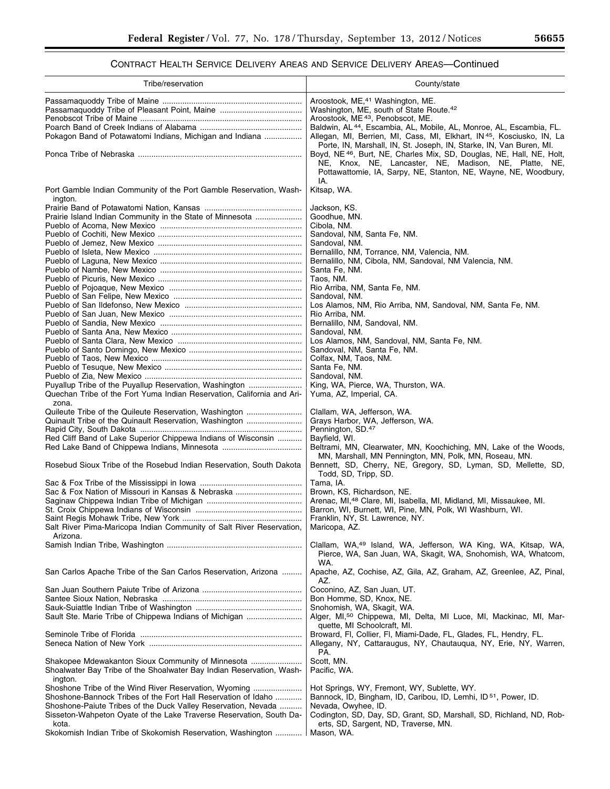# CONTRACT HEALTH SERVICE DELIVERY AREAS AND SERVICE DELIVERY AREAS—Continued

| Tribe/reservation                                                                                                                                                                                                                                                       | County/state                                                                                                                                                                                                                                                                                                                                                                                                                                                                                                                                                                                                              |
|-------------------------------------------------------------------------------------------------------------------------------------------------------------------------------------------------------------------------------------------------------------------------|---------------------------------------------------------------------------------------------------------------------------------------------------------------------------------------------------------------------------------------------------------------------------------------------------------------------------------------------------------------------------------------------------------------------------------------------------------------------------------------------------------------------------------------------------------------------------------------------------------------------------|
| Pokagon Band of Potawatomi Indians, Michigan and Indiana                                                                                                                                                                                                                | Aroostook, ME, <sup>41</sup> Washington, ME.<br>Washington, ME, south of State Route. <sup>42</sup><br>Aroostook, ME <sup>43</sup> , Penobscot, ME.<br>Baldwin, AL <sup>44</sup> , Escambia, AL, Mobile, AL, Monroe, AL, Escambia, FL.<br>Allegan, MI, Berrien, MI, Cass, MI, Elkhart, IN <sup>45</sup> , Kosciusko, IN, La<br>Porte, IN, Marshall, IN, St. Joseph, IN, Starke, IN, Van Buren, MI.<br>Boyd, NE <sup>46</sup> , Burt, NE, Charles Mix, SD, Douglas, NE, Hall, NE, Holt,<br>NE, Knox, NE, Lancaster, NE, Madison, NE, Platte, NE,<br>Pottawattomie, IA, Sarpy, NE, Stanton, NE, Wayne, NE, Woodbury,<br>IA. |
| Port Gamble Indian Community of the Port Gamble Reservation, Wash-                                                                                                                                                                                                      | Kitsap, WA.                                                                                                                                                                                                                                                                                                                                                                                                                                                                                                                                                                                                               |
| ington.<br>Prairie Island Indian Community in the State of Minnesota                                                                                                                                                                                                    | Jackson, KS.<br>Goodhue, MN.<br>Cibola, NM.<br>Sandoval, NM, Santa Fe, NM.<br>Sandoval, NM.<br>Bernalillo, NM, Torrance, NM, Valencia, NM.<br>Bernalillo, NM, Cibola, NM, Sandoval, NM Valencia, NM.                                                                                                                                                                                                                                                                                                                                                                                                                      |
|                                                                                                                                                                                                                                                                         | Santa Fe, NM.<br>Taos, NM.                                                                                                                                                                                                                                                                                                                                                                                                                                                                                                                                                                                                |
|                                                                                                                                                                                                                                                                         | Rio Arriba, NM, Santa Fe, NM.                                                                                                                                                                                                                                                                                                                                                                                                                                                                                                                                                                                             |
|                                                                                                                                                                                                                                                                         | Sandoval, NM.<br>Los Alamos, NM, Rio Arriba, NM, Sandoval, NM, Santa Fe, NM.<br>Rio Arriba, NM.<br>Bernalillo, NM, Sandoval, NM.<br>Sandoval, NM.                                                                                                                                                                                                                                                                                                                                                                                                                                                                         |
|                                                                                                                                                                                                                                                                         | Los Alamos, NM, Sandoval, NM, Santa Fe, NM.<br>Sandoval, NM, Santa Fe, NM.                                                                                                                                                                                                                                                                                                                                                                                                                                                                                                                                                |
|                                                                                                                                                                                                                                                                         | Colfax, NM, Taos, NM.                                                                                                                                                                                                                                                                                                                                                                                                                                                                                                                                                                                                     |
|                                                                                                                                                                                                                                                                         | Santa Fe, NM.<br>Sandoval, NM.                                                                                                                                                                                                                                                                                                                                                                                                                                                                                                                                                                                            |
| Puyallup Tribe of the Puyallup Reservation, Washington<br>Quechan Tribe of the Fort Yuma Indian Reservation, California and Ari-<br>zona.                                                                                                                               | King, WA, Pierce, WA, Thurston, WA.<br>Yuma, AZ, Imperial, CA.                                                                                                                                                                                                                                                                                                                                                                                                                                                                                                                                                            |
| Quileute Tribe of the Quileute Reservation, Washington<br>Quinault Tribe of the Quinault Reservation, Washington<br>Red Cliff Band of Lake Superior Chippewa Indians of Wisconsin                                                                                       | Clallam, WA, Jefferson, WA.<br>Grays Harbor, WA, Jefferson, WA.<br>Pennington, SD. <sup>47</sup><br>Bayfield, WI.<br>Beltrami, MN, Clearwater, MN, Koochiching, MN, Lake of the Woods,                                                                                                                                                                                                                                                                                                                                                                                                                                    |
| Rosebud Sioux Tribe of the Rosebud Indian Reservation, South Dakota                                                                                                                                                                                                     | MN, Marshall, MN Pennington, MN, Polk, MN, Roseau, MN.<br>Bennett, SD, Cherry, NE, Gregory, SD, Lyman, SD, Mellette, SD,<br>Todd. SD. Tripp. SD.                                                                                                                                                                                                                                                                                                                                                                                                                                                                          |
|                                                                                                                                                                                                                                                                         | Tama, IA.                                                                                                                                                                                                                                                                                                                                                                                                                                                                                                                                                                                                                 |
| Sac & Fox Nation of Missouri in Kansas & Nebraska                                                                                                                                                                                                                       | Brown, KS, Richardson, NE.<br>Arenac, MI, <sup>48</sup> Clare, MI, Isabella, MI, Midland, MI, Missaukee, MI.                                                                                                                                                                                                                                                                                                                                                                                                                                                                                                              |
| Salt River Pima-Maricopa Indian Community of Salt River Reservation,                                                                                                                                                                                                    | Barron, WI, Burnett, WI, Pine, MN, Polk, WI Washburn, WI.<br>Franklin, NY, St. Lawrence, NY.<br>Maricopa, AZ.                                                                                                                                                                                                                                                                                                                                                                                                                                                                                                             |
| Arizona.                                                                                                                                                                                                                                                                | Clallam, WA, <sup>49</sup> Island, WA, Jefferson, WA King, WA, Kitsap, WA,<br>Pierce, WA, San Juan, WA, Skagit, WA, Snohomish, WA, Whatcom,<br>WA.                                                                                                                                                                                                                                                                                                                                                                                                                                                                        |
| San Carlos Apache Tribe of the San Carlos Reservation, Arizona                                                                                                                                                                                                          | Apache, AZ, Cochise, AZ, Gila, AZ, Graham, AZ, Greenlee, AZ, Pinal,<br>AZ.                                                                                                                                                                                                                                                                                                                                                                                                                                                                                                                                                |
| Sault Ste. Marie Tribe of Chippewa Indians of Michigan                                                                                                                                                                                                                  | Coconino, AZ, San Juan, UT.<br>Bon Homme, SD, Knox, NE.<br>Snohomish, WA, Skagit, WA.<br>Alger, MI, <sup>50</sup> Chippewa, MI, Delta, MI Luce, MI, Mackinac, MI, Mar-                                                                                                                                                                                                                                                                                                                                                                                                                                                    |
|                                                                                                                                                                                                                                                                         | quette, MI Schoolcraft, MI.<br>Broward, FI, Collier, FI, Miami-Dade, FL, Glades, FL, Hendry, FL.<br>Allegany, NY, Cattaraugus, NY, Chautauqua, NY, Erie, NY, Warren,<br>PA.                                                                                                                                                                                                                                                                                                                                                                                                                                               |
| Shakopee Mdewakanton Sioux Community of Minnesota<br>Shoalwater Bay Tribe of the Shoalwater Bay Indian Reservation, Wash-<br>ington.                                                                                                                                    | Scott, MN.<br>Pacific, WA.                                                                                                                                                                                                                                                                                                                                                                                                                                                                                                                                                                                                |
| Shoshone Tribe of the Wind River Reservation, Wyoming<br>Shoshone-Bannock Tribes of the Fort Hall Reservation of Idaho<br>Shoshone-Paiute Tribes of the Duck Valley Reservation, Nevada<br>Sisseton-Wahpeton Oyate of the Lake Traverse Reservation, South Da-<br>kota. | Hot Springs, WY, Fremont, WY, Sublette, WY.<br>Bannock, ID, Bingham, ID, Caribou, ID, Lemhi, ID <sup>51</sup> , Power, ID.<br>Nevada, Owyhee, ID.<br>Codington, SD, Day, SD, Grant, SD, Marshall, SD, Richland, ND, Rob-<br>erts, SD, Sargent, ND, Traverse, MN.                                                                                                                                                                                                                                                                                                                                                          |
| Skokomish Indian Tribe of Skokomish Reservation, Washington                                                                                                                                                                                                             | Mason, WA.                                                                                                                                                                                                                                                                                                                                                                                                                                                                                                                                                                                                                |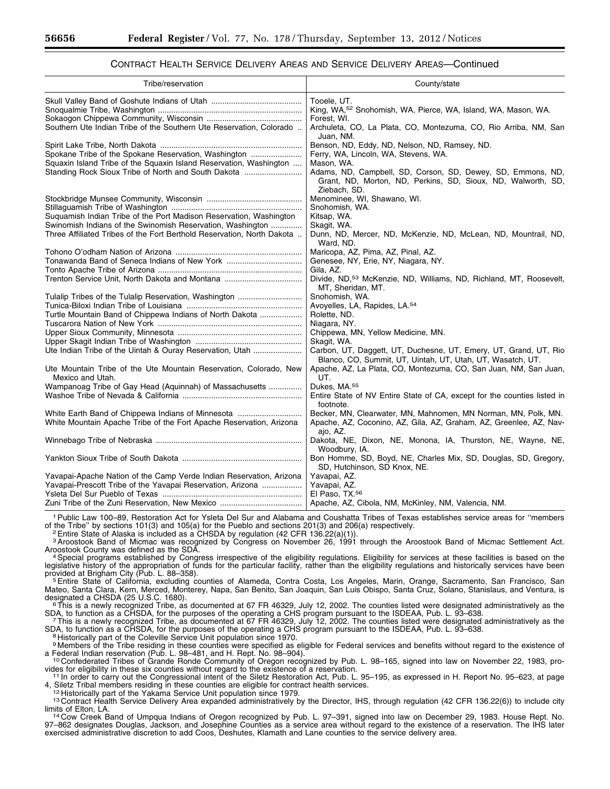### CONTRACT HEALTH SERVICE DELIVERY AREAS AND SERVICE DELIVERY AREAS—Continued

| Tribe/reservation                                                                                                                | County/state                                                                                                                                              |
|----------------------------------------------------------------------------------------------------------------------------------|-----------------------------------------------------------------------------------------------------------------------------------------------------------|
|                                                                                                                                  | Tooele, UT.<br>King, WA, <sup>52</sup> Snohomish, WA, Pierce, WA, Island, WA, Mason, WA.                                                                  |
| Southern Ute Indian Tribe of the Southern Ute Reservation, Colorado                                                              | Forest, WI.<br>Archuleta, CO, La Plata, CO, Montezuma, CO, Rio Arriba, NM, San<br>Juan, NM.                                                               |
| Spokane Tribe of the Spokane Reservation, Washington                                                                             | Benson, ND, Eddy, ND, Nelson, ND, Ramsey, ND.<br>Ferry, WA, Lincoln, WA, Stevens, WA.                                                                     |
| Squaxin Island Tribe of the Squaxin Island Reservation, Washington<br>Standing Rock Sioux Tribe of North and South Dakota        | Mason, WA.<br>Adams, ND, Campbell, SD, Corson, SD, Dewey, SD, Emmons, ND,<br>Grant, ND, Morton, ND, Perkins, SD, Sioux, ND, Walworth, SD,<br>Ziebach, SD. |
|                                                                                                                                  | Menominee, WI, Shawano, WI.<br>Snohomish, WA.                                                                                                             |
| Suquamish Indian Tribe of the Port Madison Reservation, Washington<br>Swinomish Indians of the Swinomish Reservation, Washington | Kitsap, WA.<br>Skagit, WA.                                                                                                                                |
| Three Affiliated Tribes of the Fort Berthold Reservation, North Dakota                                                           | Dunn, ND, Mercer, ND, McKenzie, ND, McLean, ND, Mountrail, ND,<br>Ward, ND.                                                                               |
|                                                                                                                                  | Maricopa, AZ, Pima, AZ, Pinal, AZ.                                                                                                                        |
|                                                                                                                                  | Genesee, NY, Erie, NY, Niagara, NY.                                                                                                                       |
|                                                                                                                                  | Gila. AZ.                                                                                                                                                 |
|                                                                                                                                  | Divide, ND, <sup>53</sup> McKenzie, ND, Williams, ND, Richland, MT, Roosevelt,<br>MT, Sheridan, MT.                                                       |
| Tulalip Tribes of the Tulalip Reservation, Washington                                                                            | Snohomish, WA.                                                                                                                                            |
|                                                                                                                                  | Avoyelles, LA, Rapides, LA.54                                                                                                                             |
| Turtle Mountain Band of Chippewa Indians of North Dakota                                                                         | Rolette, ND.                                                                                                                                              |
|                                                                                                                                  | Niagara, NY.                                                                                                                                              |
|                                                                                                                                  | Chippewa, MN, Yellow Medicine, MN.                                                                                                                        |
|                                                                                                                                  | Skagit, WA.                                                                                                                                               |
| Ute Indian Tribe of the Uintah & Ouray Reservation, Utah                                                                         | Carbon, UT, Daggett, UT, Duchesne, UT, Emery, UT, Grand, UT, Rio<br>Blanco, CO, Summit, UT, Uintah, UT, Utah, UT, Wasatch, UT.                            |
| Ute Mountain Tribe of the Ute Mountain Reservation, Colorado, New<br>Mexico and Utah.                                            | Apache, AZ, La Plata, CO, Montezuma, CO, San Juan, NM, San Juan,<br>UT.                                                                                   |
| Wampanoag Tribe of Gay Head (Aquinnah) of Massachusetts                                                                          | Dukes, MA. <sup>55</sup>                                                                                                                                  |
|                                                                                                                                  | Entire State of NV Entire State of CA, except for the counties listed in<br>footnote.                                                                     |
| White Earth Band of Chippewa Indians of Minnesota                                                                                | Becker, MN, Clearwater, MN, Mahnomen, MN Norman, MN, Polk, MN.                                                                                            |
| White Mountain Apache Tribe of the Fort Apache Reservation, Arizona                                                              | Apache, AZ, Coconino, AZ, Gila, AZ, Graham, AZ, Greenlee, AZ, Nav-<br>ajo, AZ.                                                                            |
|                                                                                                                                  | Dakota, NE, Dixon, NE, Monona, IA, Thurston, NE, Wayne, NE,<br>Woodbury, IA.                                                                              |
|                                                                                                                                  | Bon Homme, SD, Boyd, NE, Charles Mix, SD, Douglas, SD, Gregory,<br>SD, Hutchinson, SD Knox, NE.                                                           |
| Yavapai-Apache Nation of the Camp Verde Indian Reservation, Arizona                                                              | Yavapai, AZ.                                                                                                                                              |
| Yavapai-Prescott Tribe of the Yavapai Reservation, Arizona                                                                       | Yavapai, AZ.                                                                                                                                              |
|                                                                                                                                  | El Paso, TX.56                                                                                                                                            |
|                                                                                                                                  | Apache, AZ, Cibola, NM, McKinley, NM, Valencia, NM.                                                                                                       |

1Public Law 100–89, Restoration Act for Ysleta Del Sur and Alabama and Coushatta Tribes of Texas establishes service areas for ''members of the Tribe" by sections 101(3) and 105(a) for the Pueblo and sections 201(3) and 206(a) respectively.<br><sup>2</sup>Entire State of Alaska is included as a CHSDA by regulation (42 CFR 136.22(a)(1)).

3Aroostook Band of Micmac was recognized by Congress on November 26, 1991 through the Aroostook Band of Micmac Settlement Act.<br>Aroostook County was defined as the SDA.

<sup>4</sup> Special programs established by Congress irrespective of the eligibility regulations. Eligibility for services at these facilities is based on the regislative history of the appropriation of funds for the particular facility, rather than the eligibility regulations and historically services have been<br>provided at Brigham City (Pub. L. 88–358).

5 Entire State of California, excluding counties of Alameda, Contra Costa, Los Angeles, Marin, Orange, Sacramento, San Francisco, San Mateo, Santa Clara, Kern, Merced, Monterey, Napa, San Benito, San Joaquin, San Luis Obispo, Santa Cruz, Solano, Stanislaus, and Ventura, is<br>designated a CHSDA (25 U.S.C. 1680).

 $6$ This is a newly recognized Tribe, as documented at 67 FR 46329, July 12, 2002. The counties listed were designated administratively as the

SDA, to function as a CHSDA, for the purposes of the operating a CHS program pursuant to the ISDEAA, Pub. L. 93–638.<br>7 This is a newly recognized Tribe, as documented at 67 FR 46329, July 12, 2002. The counties listed were SDA, to function as a CHSDA, for the purposes of the operating a CHS program pursuant to the ISDEAA, Pub. L. 93–638.<br><sup>8</sup> Historically part of the Coleville Service Unit population since 1970.

9 Members of the Tribe residing in these counties were specified as eligible for Federal services and benefits without regard to the existence of a Federal Indian reservation (Pub. L. 98–481, and H. Rept. No. 98–904).<br><sup>10</sup> Confederated Tribes of Grande Ronde Community of Oregon recognized by Pub. L. 98–165, signed into law on November 22, 1983, pro-

vides for eligibility in these six counties without regard to the existence of a reservation.<br>11 In order to carry out the Congressional intent of the Siletz Restoration Act, Pub. L. 95–195, as expressed in H. Report No. 9

4, Siletz Tribal members residing in these counties are eligible for contract health services.<br><sup>12</sup> Historically part of the Yakama Service Unit population since 1979.<br><sup>13</sup> Contract Health Service Delivery Area expanded ad

14 Cow Creek Band of Umpqua Indians of Oregon recognized by Pub. L. 97-391, signed into law on December 29, 1983. House Rept. No. 97–862 designates Douglas, Jackson, and Josephine Counties as a service area without regard to the existence of a reservation. The IHS later exercised administrative discretion to add Coos, Deshutes, Klamath and Lane counties to the service delivery area.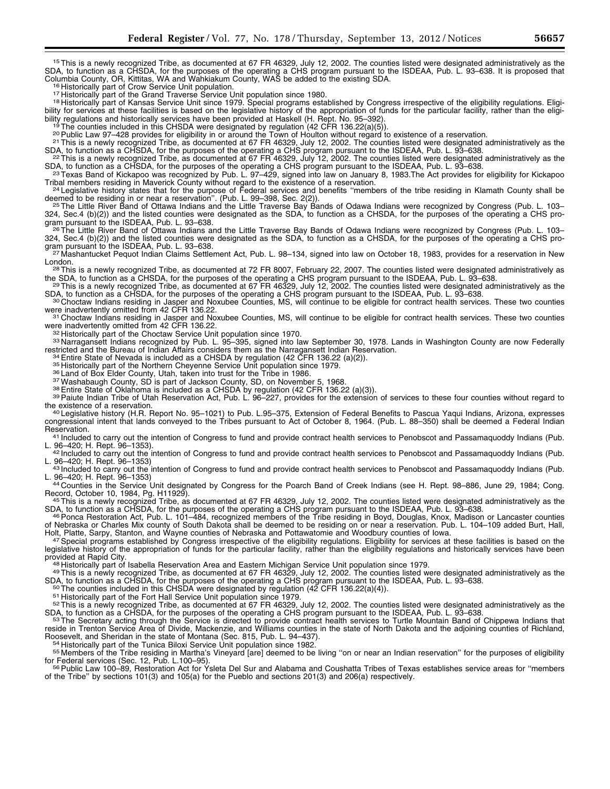15This is a newly recognized Tribe, as documented at 67 FR 46329, July 12, 2002. The counties listed were designated administratively as the SDA, to function as a CHSDA, for the purposes of the operating a CHS program pursuant to the ISDEAA, Pub. L. 93–638. It is proposed that Columbia County, OR, Kittitas, WA and Wahkiakum County, WAS be added to the existing

<sup>16</sup> Historically part of Crow Service Unit population.<br><sup>17</sup> Historically part of the Grand Traverse Service Unit population since 1980.<br><sup>18</sup> Historically part of Kansas Service Unit since 1979. Special programs establishe bility for services at these facilities is based on the legislative history of the appropriation of funds for the particular facility, rather than the eligibility regulations and historically services have been provided at Haskell (H. Rept. No. 95–392).<br><sup>19</sup> The counties included in this CHSDA were designated by regulation (42 CFR 136.22(a)(5)).<br><sup>20</sup> Public Law 97–428 provide

SDA, to function as a CHSDA, for the purposes of the operating a CHS program pursuant to the ISDEAA, Pub. L. 93–638.<br><sup>22</sup> This is a newly recognized Tribe, as documented at 67 FR 46329, July 12, 2002. The counties listed w

SDA, to function as a CHSDA, for the purposes of the operating a CHS program pursuant to the ISDEAA, Pub. L. 93–638.<br><sup>23</sup> Texas Band of Kickapoo was recognized by Pub. L. 97–429, signed into law on January 8, 1983. The Act

<sup>24</sup> Legislative history states that for the purpose of Federal services and benefits "members of the tribe residing in Klamath County shall be deemed to be residing in or near a reservation". (Pub. L. 99–398, Sec. 2(2)).

<sup>25</sup> The Little River Band of Ottawa Indians and the Little Traverse Bay Bands of Odawa Indians were recognized by Congress (Pub. L. 103– 324, Sec.4 (b)(2)) and the listed counties were designated as the SDA, to function as a CHSDA, for the purposes of the operating a CHS program pursuant to the ISDEAA, Pub. L. 93–638. 26The Little Traverse Bay Bands of Odawa Indians were recognized by Congress (Pub. L. 103–<br><sup>26</sup>The Little River Band of Ottawa Indians and the Little Traverse Bay Bands of Odawa

324, Sec.4 (b)(2)) and the listed counties were designated as the SDA, to function as a CHSDA, for the purposes of the operating a CHS pro-<br>gram pursuant to the ISDEAA, Pub. L. 93–638.

727 Mashantucket Pequot Indian Claims Settlement Act, Pub. L. 98–134, signed into law on October 18, 1983, provides for a reservation in New<br>London.

<sup>28</sup> This is a newly recognized Tribe, as documented at 72 FR 8007, February 22, 2007. The counties listed were designated administratively as the SDA, to function as a CHSDA, for the purposes of the operating a CHS progra

29 This is a newly recognized Tribe, as documented at 67 FR 46329, July 12, 2002. The counties listed were designated administratively as the SDA, to function as a CHSDA, for the purposes of the operating a CHS program pur

30 Choctaw Indians residing in Jasper and Noxubee Counties, MS, will continue to be eligible for contract health services. These two counties were inadvertently omitted from 42 CFR 136.22.

<sup>31</sup> Choctaw Indians residing in Jasper and Noxubee Counties, MS, will continue to be eligible for contract health services. These two counties were inadvertently omitted from 42 CFR 136.22.

and a serie intervention of the Choctaw Service Unit population since 1970.<br>32 Historically part of the Choctaw Service Unit population since 1970.<br>33 Narragansett Indians recognized by Pub. L. 95–395, signed into law Sept

<sup>34</sup> Entire State of Nevada is included as a CHSDA by regulation (42 CFR 136.22 (a)(2)).<br><sup>35</sup> Historically part of the Northern Cheyenne Service Unit population since 1979.<br><sup>36</sup> Land of Box Elder County, Utah, taken into

<sup>40</sup> Legislative history (H.R. Report No. 95–1021) to Pub. L.95–375, Extension of Federal Benefits to Pascua Yaqui Indians, Arizona, expresses congressional intent that lands conveyed to the Tribes pursuant to Act of October 8, 1964. (Pub. L. 88–350) shall be deemed a Federal Indian

Reservation.<br>41 Included to carry out the intention of Congress to fund and provide contract health services to Penobscot and Passamaquoddy Indians (Pub.<br>L. 96–420; H. Rept. 96–1353).

<sup>42</sup> Included to carry out the intention of Congress to fund and provide contract health services to Penobscot and Passamaquoddy Indians (Pub.<br>L. 96–420; H. Rept. 96–1353)

<sup>43</sup> Included to carry out the intention of Congress to fund and provide contract health services to Penobscot and Passamaquoddy Indians (Pub.

L. 96–420; H. Rept. 96–1353)<br>
44 Counties in the Service Unit designated by Congress for the Poarch Band of Creek Indians (see H. Rept. 98–886, June 29, 1984; Cong.<br>
Record, October 10, 1984, Pg. H11929).

Record, October 10, 1984, Pg. H11929).<br>45This is a newly recognized Tribe, as documented at 67 FR 46329, July 12, 2002. The counties listed were designated administratively as the

SDA, to function as a CHSDA, for the purposes of the operating a CHS program pursuant to the ISDEAA, Pub. L. 93–638.<br><sup>46</sup> Ponca Restoration Act, Pub. L. 101–484, recognized members of the Tribe residing in Boyd, Douglas, K of Nebraska or Charles Mix county of South Dakota shall be deemed to be residing on or near a reservation. Pub. L. 104–109 added Burt, Hall,<br>Holt, Platte, Sarpy, Stanton, and Wayne counties of Nebraska and Pottawatomie and

<sup>47</sup> Special programs established by Congress irrespective of the eligibility regulations. Eligibility for services at these facilities is based on the legislative history of the appropriation of funds for the particular facility, rather than the eligibility regulations and historically services have been<br>provided at Rapid City.

48 Historically part of Isabella Reservation Area and Eastern Michigan Service Unit population since 1979.<br>49 This is a newly recognized Tribe, as documented at 67 FR 46329, July 12, 2002. The counties listed were designat

<sup>50</sup> The counties included in this CHSDA were designated by regulation (42 CFR 136.22(a)(4)).<br><sup>51</sup> Historically part of the Fort Hall Service Unit population since 1979.<br><sup>52</sup> This is a newly recognized Tribe, as documente

SDA, to function as a CHSDA, for the purposes of the operating a CHS program pursuant to the ISDEAA, Pub. L. 93–638.<br><sup>53</sup>The Secretary acting through the Service is directed to provide contract health services to Turtle Mo reside in Trenton Service Area of Divide, Mackenzie, and Williams counties in the state of North Dakota and the adjoining counties of Richland,

Roosevelt, and Sheridan in the state of Montana (Sec. 815, Pub. L. 94–437).<br><sup>54</sup> Historically part of the Tunica Biloxi Service Unit population since 1982.<br><sup>55</sup> Members of the Tribe residing in Martha's Vineyard [are] deem

for Federal services (Sec. 12, Pub. L.100–95).<br><sup>56</sup> Public Law 100–89, Restoration Act for Ysleta Del Sur and Alabama and Coushatta Tribes of Texas establishes service areas for "members of the Tribe'' by sections 101(3) and 105(a) for the Pueblo and sections 201(3) and 206(a) respectively.